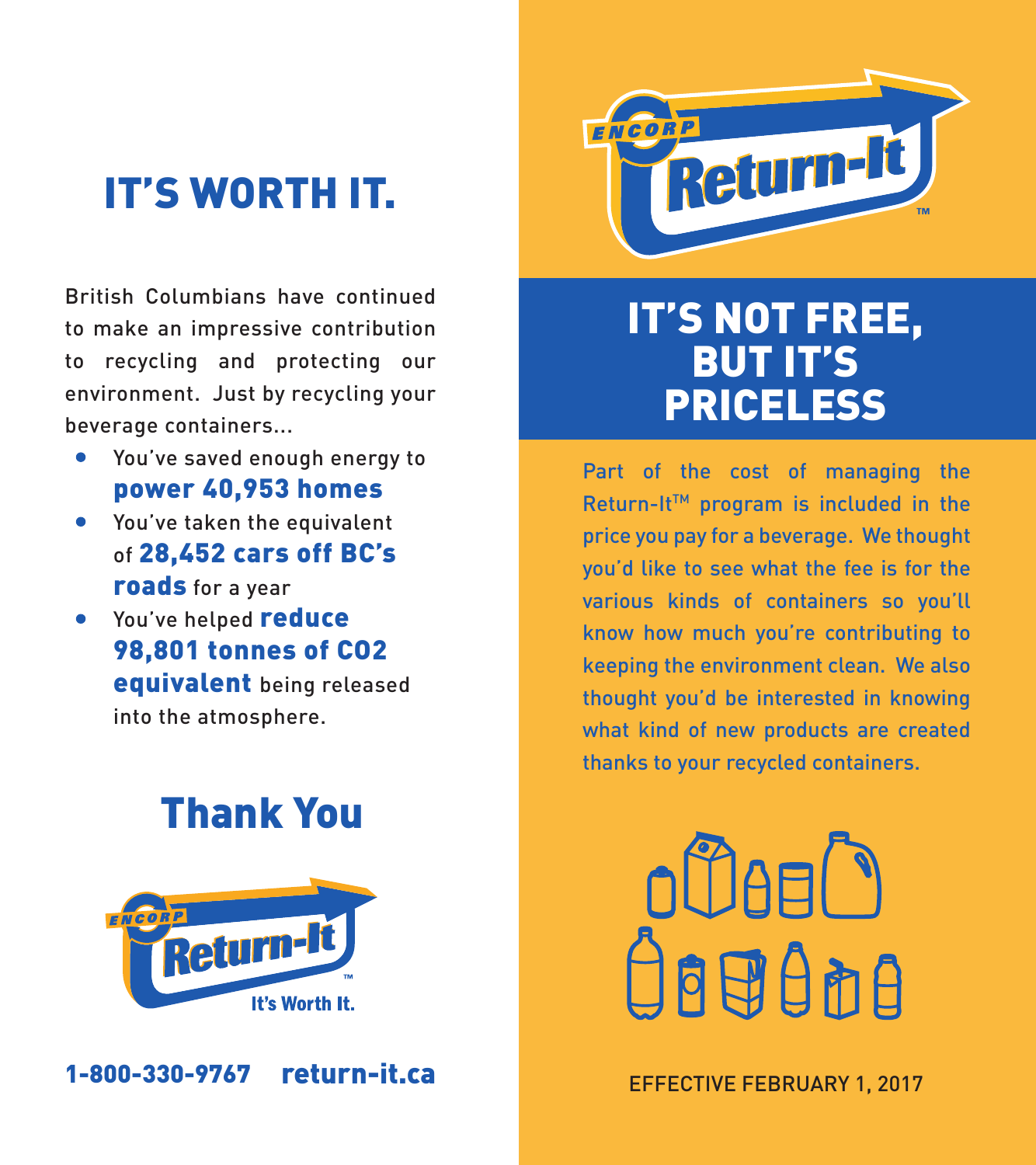# IT'S WORTH IT.

British Columbians have continued to make an impressive contribution to recycling and protecting our environment. Just by recycling your beverage containers...

- You've saved enough energy to  $\bullet$ power 40,953 homes
- You've taken the equivalent of 28,452 cars off BC's roads for a year
- You've helped reduce 98,801 tonnes of CO2 equivalent being released into the atmosphere.

# Thank You



1-800-330-9767



# IT'S NOT FREE, BUT IT'S PRICELESS

Part of the cost of managing the Return-It™ program is included in the price you pay for a beverage. We thought you'd like to see what the fee is for the various kinds of containers so you'll know how much you're contributing to keeping the environment clean. We also thought you'd be interested in knowing what kind of new products are created thanks to your recycled containers.



**Feturn-it.ca** EFFECTIVE FEBRUARY 1, 2017